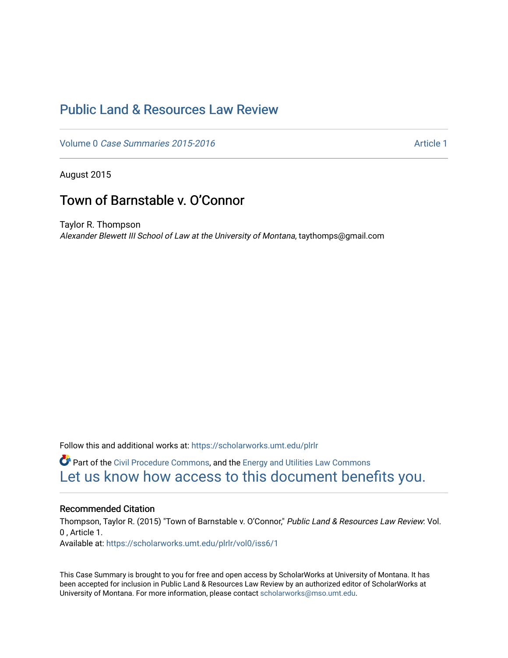# [Public Land & Resources Law Review](https://scholarworks.umt.edu/plrlr)

Volume 0 [Case Summaries 2015-2016](https://scholarworks.umt.edu/plrlr/vol0) Article 1

August 2015

# Town of Barnstable v. O'Connor

Taylor R. Thompson Alexander Blewett III School of Law at the University of Montana, taythomps@gmail.com

Follow this and additional works at: [https://scholarworks.umt.edu/plrlr](https://scholarworks.umt.edu/plrlr?utm_source=scholarworks.umt.edu%2Fplrlr%2Fvol0%2Fiss6%2F1&utm_medium=PDF&utm_campaign=PDFCoverPages) 

**C** Part of the [Civil Procedure Commons,](http://network.bepress.com/hgg/discipline/584?utm_source=scholarworks.umt.edu%2Fplrlr%2Fvol0%2Fiss6%2F1&utm_medium=PDF&utm_campaign=PDFCoverPages) and the Energy and Utilities Law Commons [Let us know how access to this document benefits you.](https://goo.gl/forms/s2rGfXOLzz71qgsB2) 

# Recommended Citation

Thompson, Taylor R. (2015) "Town of Barnstable v. O'Connor," Public Land & Resources Law Review: Vol. 0 , Article 1. Available at: [https://scholarworks.umt.edu/plrlr/vol0/iss6/1](https://scholarworks.umt.edu/plrlr/vol0/iss6/1?utm_source=scholarworks.umt.edu%2Fplrlr%2Fvol0%2Fiss6%2F1&utm_medium=PDF&utm_campaign=PDFCoverPages) 

This Case Summary is brought to you for free and open access by ScholarWorks at University of Montana. It has been accepted for inclusion in Public Land & Resources Law Review by an authorized editor of ScholarWorks at University of Montana. For more information, please contact [scholarworks@mso.umt.edu.](mailto:scholarworks@mso.umt.edu)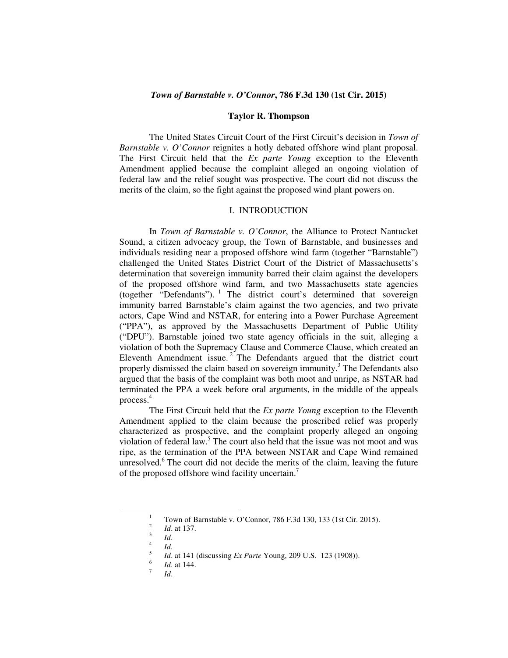## *Town of Barnstable v. O'Connor***, 786 F.3d 130 (1st Cir. 2015)**

#### **Taylor R. Thompson**

The United States Circuit Court of the First Circuit's decision in *Town of Barnstable v. O'Connor* reignites a hotly debated offshore wind plant proposal. The First Circuit held that the *Ex parte Young* exception to the Eleventh Amendment applied because the complaint alleged an ongoing violation of federal law and the relief sought was prospective. The court did not discuss the merits of the claim, so the fight against the proposed wind plant powers on.

### I. INTRODUCTION

In *Town of Barnstable v. O'Connor*, the Alliance to Protect Nantucket Sound, a citizen advocacy group, the Town of Barnstable, and businesses and individuals residing near a proposed offshore wind farm (together "Barnstable") challenged the United States District Court of the District of Massachusetts's determination that sovereign immunity barred their claim against the developers of the proposed offshore wind farm, and two Massachusetts state agencies (together "Defendants"). <sup>1</sup> The district court's determined that sovereign immunity barred Barnstable's claim against the two agencies, and two private actors, Cape Wind and NSTAR, for entering into a Power Purchase Agreement ("PPA"), as approved by the Massachusetts Department of Public Utility ("DPU"). Barnstable joined two state agency officials in the suit, alleging a violation of both the Supremacy Clause and Commerce Clause, which created an Eleventh Amendment issue.<sup>2</sup> The Defendants argued that the district court properly dismissed the claim based on sovereign immunity.<sup>3</sup> The Defendants also argued that the basis of the complaint was both moot and unripe, as NSTAR had terminated the PPA a week before oral arguments, in the middle of the appeals process.<sup>4</sup>

The First Circuit held that the *Ex parte Young* exception to the Eleventh Amendment applied to the claim because the proscribed relief was properly characterized as prospective, and the complaint properly alleged an ongoing violation of federal law.<sup>5</sup> The court also held that the issue was not moot and was ripe, as the termination of the PPA between NSTAR and Cape Wind remained unresolved.<sup>6</sup> The court did not decide the merits of the claim, leaving the future of the proposed offshore wind facility uncertain.<sup>7</sup>

-

7

<sup>1</sup> Town of Barnstable v. O'Connor, 786 F.3d 130, 133 (1st Cir. 2015). 2

*Id*. at 137.

<sup>3</sup> *Id*.

<sup>4</sup> *Id*.

<sup>5</sup> *Id*. at 141 (discussing *Ex Parte* Young, 209 U.S. 123 (1908)).

<sup>6</sup> *Id*. at 144.

*Id*.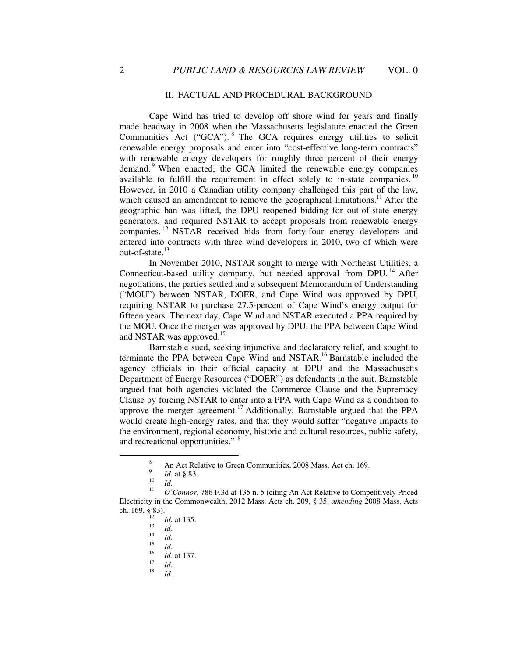#### II. FACTUAL AND PROCEDURAL BACKGROUND

Cape Wind has tried to develop off shore wind for years and finally made headway in 2008 when the Massachusetts legislature enacted the Green Communities Act ("GCA"). <sup>8</sup> The GCA requires energy utilities to solicit renewable energy proposals and enter into "cost-effective long-term contracts" with renewable energy developers for roughly three percent of their energy demand.<sup>9</sup> When enacted, the GCA limited the renewable energy companies available to fulfill the requirement in effect solely to in-state companies. <sup>10</sup> However, in 2010 a Canadian utility company challenged this part of the law, which caused an amendment to remove the geographical limitations.<sup>11</sup> After the geographic ban was lifted, the DPU reopened bidding for out-of-state energy generators, and required NSTAR to accept proposals from renewable energy companies. <sup>12</sup> NSTAR received bids from forty-four energy developers and entered into contracts with three wind developers in 2010, two of which were out-of-state.<sup>13</sup>

In November 2010, NSTAR sought to merge with Northeast Utilities, a Connecticut-based utility company, but needed approval from DPU.<sup>14</sup> After negotiations, the parties settled and a subsequent Memorandum of Understanding ("MOU") between NSTAR, DOER, and Cape Wind was approved by DPU, requiring NSTAR to purchase 27.5-percent of Cape Wind's energy output for fifteen years. The next day, Cape Wind and NSTAR executed a PPA required by the MOU. Once the merger was approved by DPU, the PPA between Cape Wind and NSTAR was approved.<sup>15</sup>

Barnstable sued, seeking injunctive and declaratory relief, and sought to terminate the PPA between Cape Wind and NSTAR.<sup>16</sup> Barnstable included the agency officials in their official capacity at DPU and the Massachusetts Department of Energy Resources ("DOER") as defendants in the suit. Barnstable argued that both agencies violated the Commerce Clause and the Supremacy Clause by forcing NSTAR to enter into a PPA with Cape Wind as a condition to approve the merger agreement.<sup>17</sup> Additionally, Barnstable argued that the PPA would create high-energy rates, and that they would suffer "negative impacts to the environment, regional economy, historic and cultural resources, public safety, and recreational opportunities."<sup>18</sup>

 $\overline{a}$ 

<sup>8</sup> An Act Relative to Green Communities, 2008 Mass. Act ch. 169.

<sup>9</sup> *Id.* at § 83.

<sup>10</sup> *Id.* 11

*O'Connor*, 786 F.3d at 135 n. 5 (citing An Act Relative to Competitively Priced Electricity in the Commonwealth, 2012 Mass. Acts ch. 209, § 35, *amending* 2008 Mass. Acts ch. 169, § 83).

<sup>12</sup> *Id.* at 135. 13

*Id*.

<sup>14</sup> *Id.*

<sup>15</sup> *Id*.

<sup>16</sup> *Id*. at 137.

<sup>17</sup> *Id*.

<sup>18</sup> *Id*.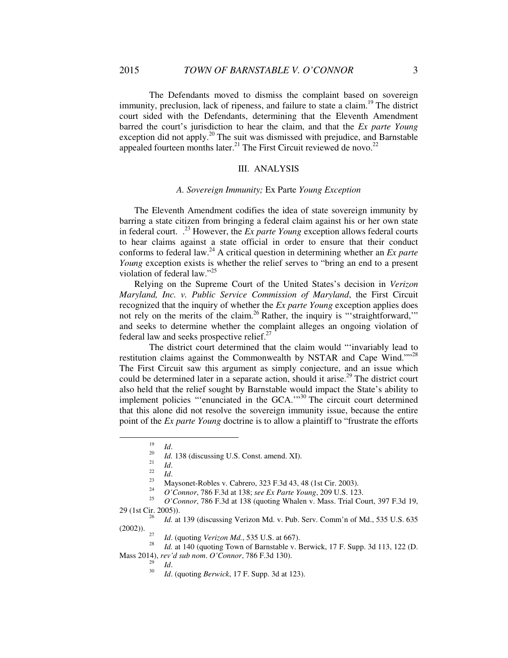The Defendants moved to dismiss the complaint based on sovereign immunity, preclusion, lack of ripeness, and failure to state a claim.<sup>19</sup> The district court sided with the Defendants, determining that the Eleventh Amendment barred the court's jurisdiction to hear the claim, and that the *Ex parte Young*  exception did not apply.<sup>20</sup> The suit was dismissed with prejudice, and Barnstable appealed fourteen months later.<sup>21</sup> The First Circuit reviewed de novo.<sup>22</sup>

#### III. ANALYSIS

#### *A. Sovereign Immunity;* Ex Parte *Young Exception*

 The Eleventh Amendment codifies the idea of state sovereign immunity by barring a state citizen from bringing a federal claim against his or her own state in federal court.  $^{23}$  However, the *Ex parte Young* exception allows federal courts to hear claims against a state official in order to ensure that their conduct conforms to federal law.<sup>24</sup> A critical question in determining whether an *Ex parte Young* exception exists is whether the relief serves to "bring an end to a present violation of federal law."<sup>25</sup>

 Relying on the Supreme Court of the United States's decision in *Verizon Maryland, Inc. v. Public Service Commission of Maryland*, the First Circuit recognized that the inquiry of whether the *Ex parte Young* exception applies does not rely on the merits of the claim.<sup>26</sup> Rather, the inquiry is "'straightforward," and seeks to determine whether the complaint alleges an ongoing violation of federal law and seeks prospective relief. $27$ 

The district court determined that the claim would "'invariably lead to restitution claims against the Commonwealth by NSTAR and Cape Wind.""<sup>28</sup> The First Circuit saw this argument as simply conjecture, and an issue which could be determined later in a separate action, should it arise.<sup>29</sup> The district court also held that the relief sought by Barnstable would impact the State's ability to implement policies "'enunciated in the GCA.'"<sup>30</sup> The circuit court determined that this alone did not resolve the sovereign immunity issue, because the entire point of the *Ex parte Young* doctrine is to allow a plaintiff to "frustrate the efforts

 $\overline{a}$ 

26 *Id.* at 139 (discussing Verizon Md. v. Pub. Serv. Comm'n of Md., 535 U.S. 635 (2002)). 27

<sup>27</sup> *Id.* (quoting *Verizon Md.*, 535 U.S. at 667).

Id. at 140 (quoting Town of Barnstable v. Berwick, 17 F. Supp. 3d 113, 122 (D. Mass 2014), *rev'd sub nom*. *O'Connor*, 786 F.3d 130).

29 *Id*. 30

*Id*. (quoting *Berwick*, 17 F. Supp. 3d at 123).

<sup>19</sup> *Id*.

<sup>20</sup> *Id.* 138 (discussing U.S. Const. amend. XI).

<sup>21</sup> *Id*.

<sup>22</sup>  $\frac{22}{23}$  *Id.* 

<sup>23</sup> Maysonet-Robles v. Cabrero, 323 F.3d 43, 48 (1st Cir. 2003). 24

*O'Connor*, 786 F.3d at 138; *see Ex Parte Young*, 209 U.S. 123.

<sup>25</sup> *O'Connor*, 786 F.3d at 138 (quoting Whalen v. Mass. Trial Court, 397 F.3d 19, 29 (1st Cir. 2005)).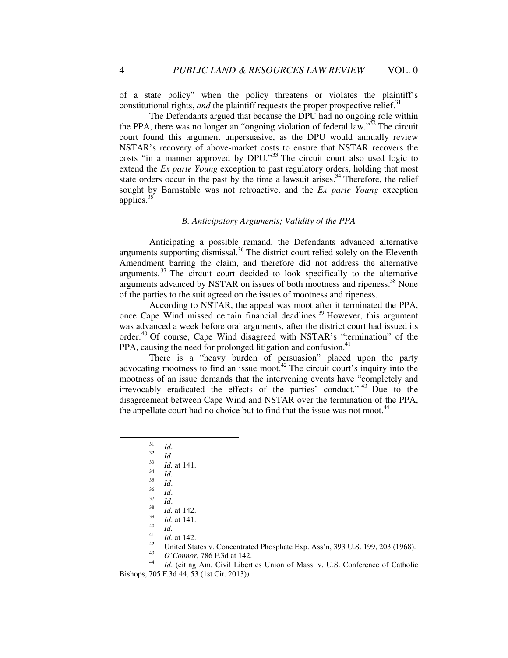of a state policy" when the policy threatens or violates the plaintiff's constitutional rights, *and* the plaintiff requests the proper prospective relief.<sup>31</sup>

The Defendants argued that because the DPU had no ongoing role within the PPA, there was no longer an "ongoing violation of federal law*.*" <sup>32</sup> The circuit court found this argument unpersuasive, as the DPU would annually review NSTAR's recovery of above-market costs to ensure that NSTAR recovers the costs "in a manner approved by DPU."<sup>33</sup> The circuit court also used logic to extend the *Ex parte Young* exception to past regulatory orders, holding that most state orders occur in the past by the time a lawsuit arises.<sup>34</sup> Therefore, the relief sought by Barnstable was not retroactive, and the *Ex parte Young* exception applies.<sup>35</sup>

### *B. Anticipatory Arguments; Validity of the PPA*

Anticipating a possible remand, the Defendants advanced alternative arguments supporting dismissal.<sup>36</sup> The district court relied solely on the Eleventh Amendment barring the claim, and therefore did not address the alternative arguments.<sup> $37$ </sup> The circuit court decided to look specifically to the alternative arguments advanced by NSTAR on issues of both mootness and ripeness.<sup>38</sup> None of the parties to the suit agreed on the issues of mootness and ripeness.

According to NSTAR, the appeal was moot after it terminated the PPA, once Cape Wind missed certain financial deadlines.<sup>39</sup> However, this argument was advanced a week before oral arguments, after the district court had issued its order.<sup>40</sup> Of course, Cape Wind disagreed with NSTAR's "termination" of the PPA, causing the need for prolonged litigation and confusion. $41$ 

There is a "heavy burden of persuasion" placed upon the party advocating mootness to find an issue moot.<sup> $42$ </sup> The circuit court's inquiry into the mootness of an issue demands that the intervening events have "completely and irrevocably eradicated the effects of the parties' conduct." <sup>43</sup> Due to the disagreement between Cape Wind and NSTAR over the termination of the PPA, the appellate court had no choice but to find that the issue was not moot.<sup>44</sup>

-

<sup>31</sup> *Id*.

<sup>32</sup> *Id*. 33

*Id.* at 141. 34

*Id.*

<sup>35</sup> *Id*.

<sup>36</sup> *Id*.

<sup>37</sup> *Id*.

<sup>38</sup> *Id.* at 142.

<sup>39</sup> *Id*. at 141. 40

*Id.*

<sup>41</sup> <sup>41</sup> *Id.* at 142.

United States v. Concentrated Phosphate Exp. Ass'n, 393 U.S. 199, 203 (1968).

<sup>43</sup> *O'Connor*, 786 F.3d at 142.

<sup>44</sup> *Id*. (citing Am. Civil Liberties Union of Mass. v. U.S. Conference of Catholic Bishops, 705 F.3d 44, 53 (1st Cir. 2013)).